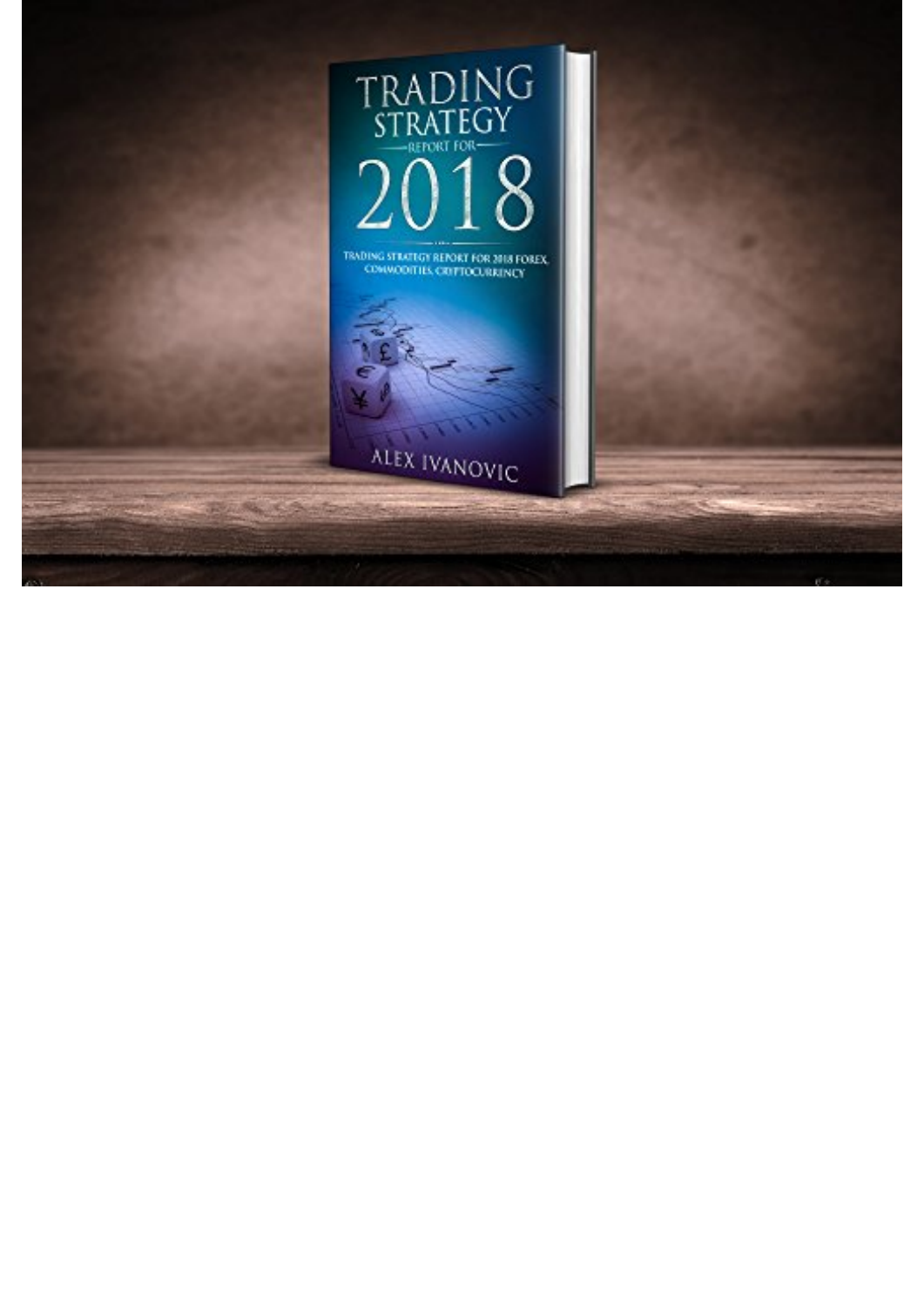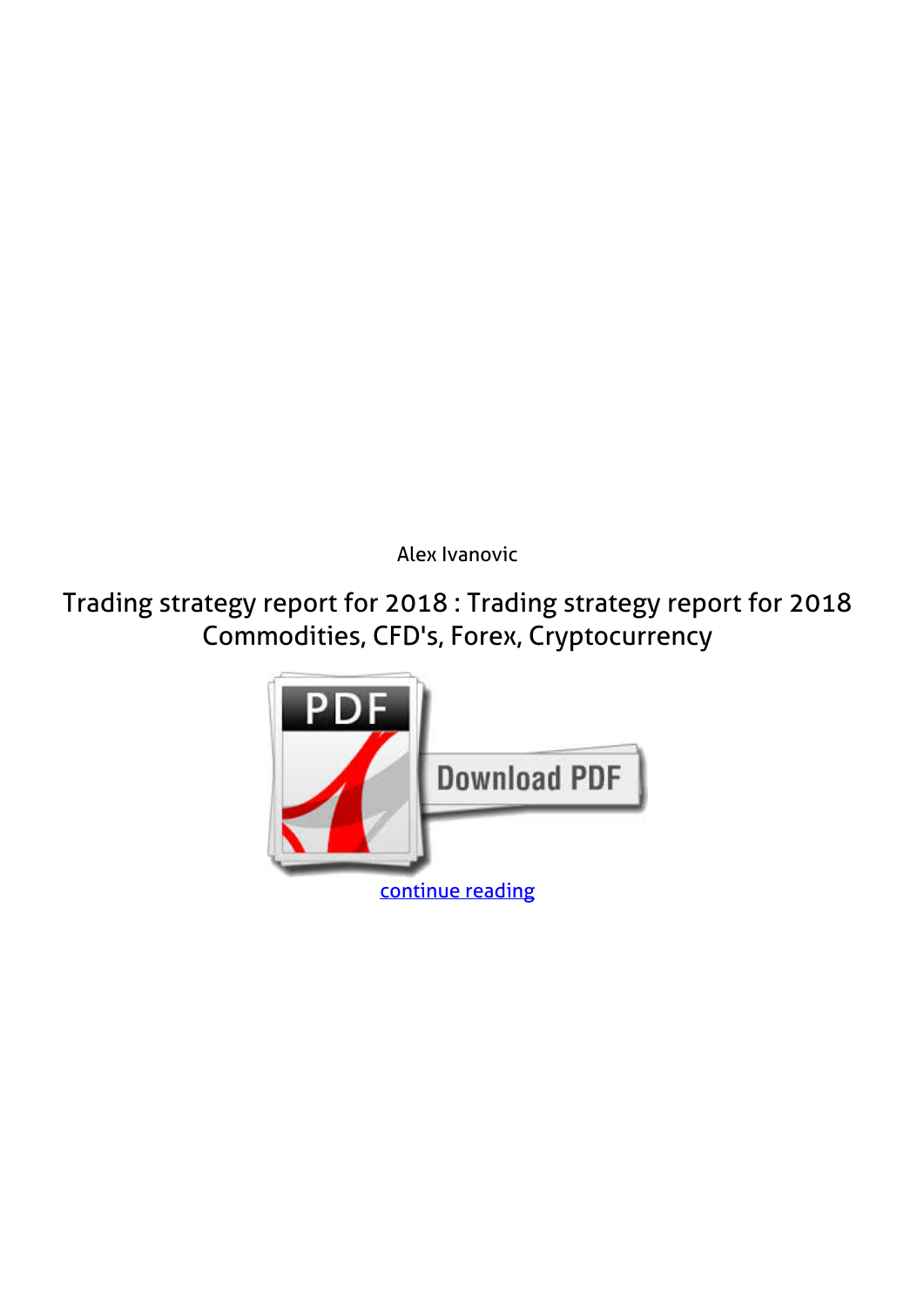*Alex Ivanovic*

**Trading strategy report for 2018 : Trading strategy report for 2018 Commodities, CFD's, Forex, Cryptocurrency**

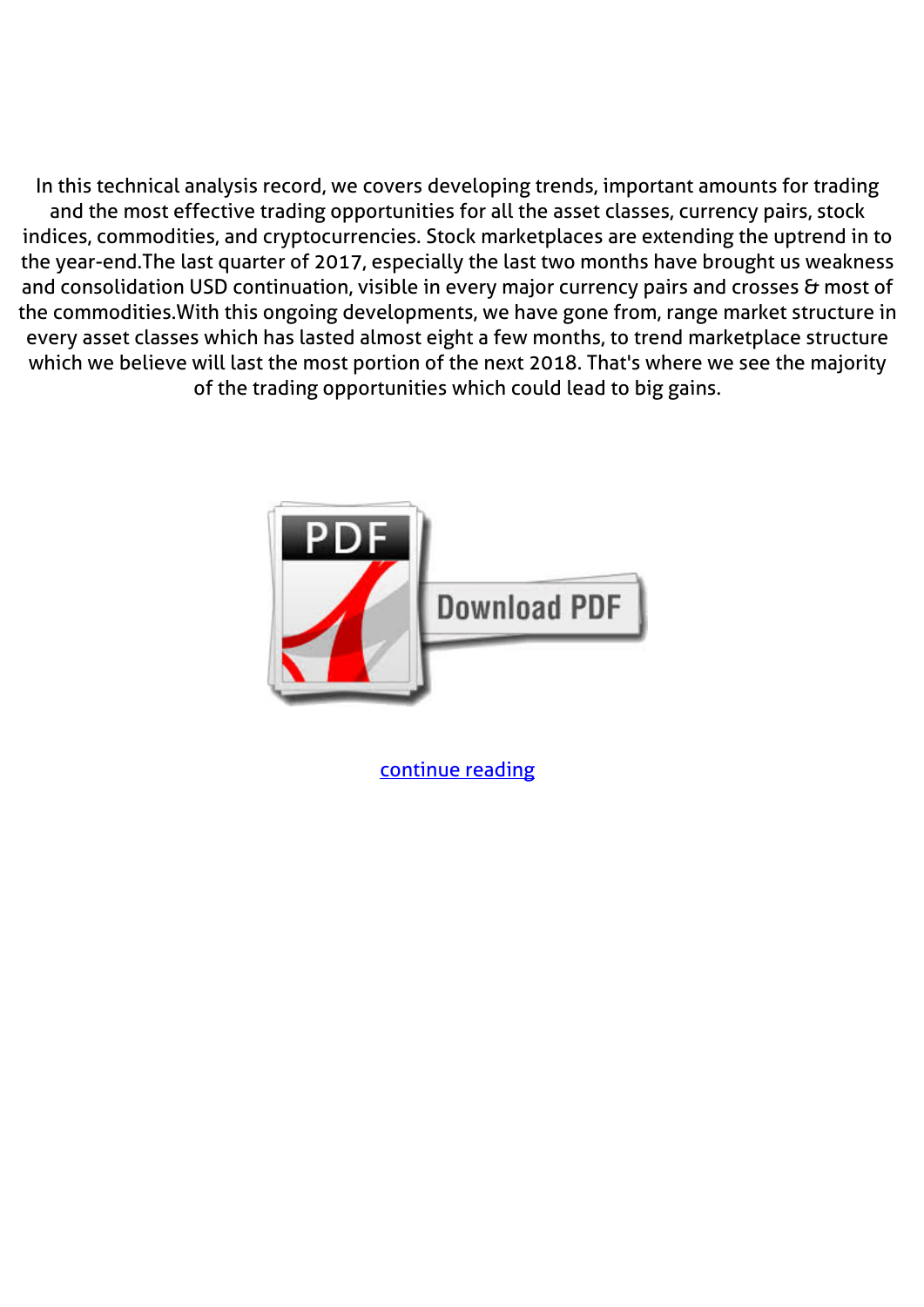In this technical analysis record, we covers developing trends, important amounts for trading and the most effective trading opportunities for all the asset classes, currency pairs, stock indices, commodities, and cryptocurrencies. Stock marketplaces are extending the uptrend in to the year-end.The last quarter of 2017, especially the last two months have brought us weakness and consolidation USD continuation, visible in every major currency pairs and crosses & most of the commodities.With this ongoing developments, we have gone from, range market structure in every asset classes which has lasted almost eight a few months, to trend marketplace structure which we believe will last the most portion of the next 2018. That's where we see the majority of the trading opportunities which could lead to big gains.



[continue reading](http://bit.ly/2Tge8Fv)